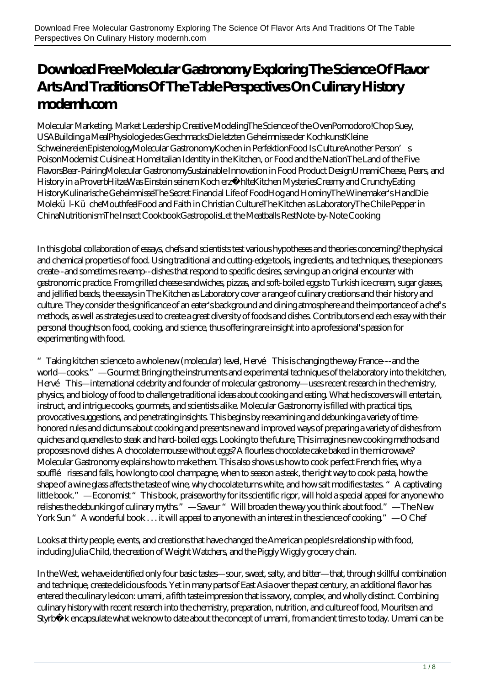## **Download Free Molecular Gastronomy Exploring The Science Of Flavor Arts And Traditions Of The Table Perspectives On Culinary History modernh.com**

Molecular Marketing. Market Leadership Creative ModelingThe Science of the OvenPomodoro!Chop Suey, USABuilding a MealPhysiologie des GeschmacksDie letzten Geheimnisse der KochkunstKleine SchweinereienEpistenologyMolecular GastronomyKochen in PerfektionFood Is CultureAnother Person's PoisonModernist Cuisine at HomeItalian Identity in the Kitchen, or Food and the NationThe Land of the Five FlavorsBeer-PairingMolecular GastronomySustainable Innovation in Food Product DesignUmamiCheese, Pears, and History in a ProverbHitzeWas Einstein seinem Koch erzählteKitchen MysteriesCreamy and CrunchyEating HistoryKulinarische GeheimnisseThe Secret Financial Life of FoodHog and HominyThe Winemaker's HandDie Molekü I-Kü cheMouthfeelFood and Faith in Christian CultureThe Kitchen as LaboratoryThe Chile Pepper in ChinaNutritionismThe Insect CookbookGastropolisLet the Meatballs RestNote-by-Note Cooking

In this global collaboration of essays, chefs and scientists test various hypotheses and theories concerning? the physical and chemical properties of food. Using traditional and cutting-edge tools, ingredients, and techniques, these pioneers create--and sometimes revamp--dishes that respond to specific desires, serving up an original encounter with gastronomic practice. From grilled cheese sandwiches, pizzas, and soft-boiled eggs to Turkish ice cream, sugar glasses, and jellified beads, the essays in The Kitchen as Laboratory cover a range of culinary creations and their history and culture. They consider the significance of an eater's background and dining atmosphere and the importance of a chef's methods, as well as strategies used to create a great diversity of foods and dishes. Contributors end each essay with their personal thoughts on food, cooking, and science, thus offering rare insight into a professional's passion for experimenting with food.

"Taking kitchen science to a whole new (molecular) level, Hervé This is changing the way France---and the world—cooks."—Gourmet Bringing the instruments and experimental techniques of the laboratory into the kitchen, Hervé This—international celebrity and founder of molecular gastronomy—uses recent research in the chemistry, physics, and biology of food to challenge traditional ideas about cooking and eating. What he discovers will entertain, instruct, and intrigue cooks, gourmets, and scientists alike. Molecular Gastronomy is filled with practical tips, provocative suggestions, and penetrating insights. This begins by reexamining and debunking a variety of timehonored rules and dictums about cooking and presents new and improved ways of preparing a variety of dishes from quiches and quenelles to steak and hard-boiled eggs. Looking to the future, This imagines new cooking methods and proposes novel dishes. A chocolate mousse without eggs? A flourless chocolate cake baked in the microwave? Molecular Gastronomy explains how to make them. This also shows us how to cook perfect French fries, why a soufflé rises and falls, how long to cool champagne, when to season a steak, the right way to cook pasta, how the shape of a wine glass affects the taste of wine, why chocolate turns white, and how salt modifies tastes. "A captivating little book."—Economist "This book, praiseworthy for its scientific rigor, will hold a special appeal for anyone who relishes the debunking of culinary myths." —Saveur "Will broaden the way you think about food." —The New York Sun "A wonderful book . . . it will appeal to anyone with an interest in the science of cooking." — O Chef

Looks at thirty people, events, and creations that have changed the American people's relationship with food, including Julia Child, the creation of Weight Watchers, and the Piggly Wiggly grocery chain.

In the West, we have identified only four basic tastes—sour, sweet, salty, and bitter—that, through skillful combination and technique, create delicious foods. Yet in many parts of East Asia over the past century, an additional flavor has entered the culinary lexicon: umami, a fifth taste impression that is savory, complex, and wholly distinct. Combining culinary history with recent research into the chemistry, preparation, nutrition, and culture of food, Mouritsen and Styrbæk encapsulate what we know to date about the concept of umami, from ancient times to today. Umami can be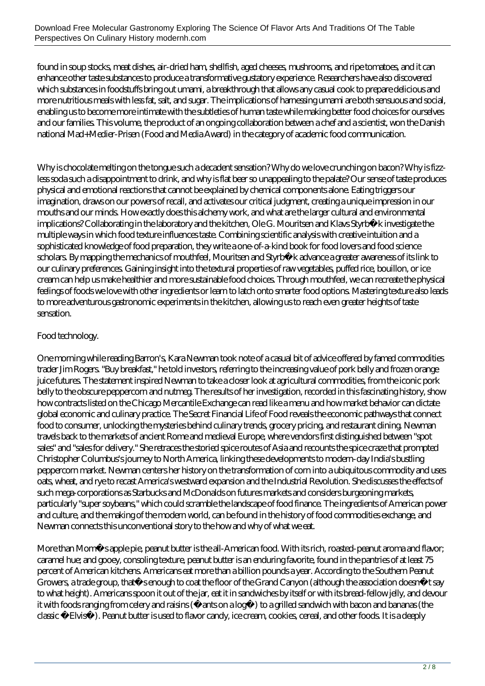found in soup stocks, meat dishes, air-dried ham, shellfish, aged cheeses, mushrooms, and ripe tomatoes, and it can enhance other taste substances to produce a transformative gustatory experience. Researchers have also discovered which substances in foodstuffs bring out umami, a breakthrough that allows any casual cook to prepare delicious and more nutritious meals with less fat, salt, and sugar. The implications of harnessing umami are both sensuous and social, enabling us to become more intimate with the subtleties of human taste while making better food choices for ourselves and our families. This volume, the product of an ongoing collaboration between a chef and a scientist, won the Danish national Mad+Medier-Prisen (Food and Media Award) in the category of academic food communication.

Why is chocolate melting on the tongue such a decadent sensation? Why do we love crunching on bacon? Why is fizzless soda such a disappointment to drink, and why is flat beer so unappealing to the palate? Our sense of taste produces physical and emotional reactions that cannot be explained by chemical components alone. Eating triggers our imagination, draws on our powers of recall, and activates our critical judgment, creating a unique impression in our mouths and our minds. How exactly does this alchemy work, and what are the larger cultural and environmental implications? Collaborating in the laboratory and the kitchen, Ole G. Mouritsen and Klavs Styrbæk investigate the multiple ways in which food texture influences taste. Combining scientific analysis with creative intuition and a sophisticated knowledge of food preparation, they write a one-of-a-kind book for food lovers and food science scholars. By mapping the mechanics of mouthfeel, Mouritsen and Styrbæk advance a greater awareness of its link to our culinary preferences. Gaining insight into the textural properties of raw vegetables, puffed rice, bouillon, or ice cream can help us make healthier and more sustainable food choices. Through mouthfeel, we can recreate the physical feelings of foods we love with other ingredients or learn to latch onto smarter food options. Mastering texture also leads to more adventurous gastronomic experiments in the kitchen, allowing us to reach even greater heights of taste sensation.

## Food technology.

One morning while reading Barron's, Kara Newman took note of a casual bit of advice offered by famed commodities trader Jim Rogers. "Buy breakfast," he told investors, referring to the increasing value of pork belly and frozen orange juice futures. The statement inspired Newman to take a closer look at agricultural commodities, from the iconic pork belly to the obscure peppercorn and nutmeg. The results of her investigation, recorded in this fascinating history, show how contracts listed on the Chicago Mercantile Exchange can read like a menu and how market behavior can dictate global economic and culinary practice. The Secret Financial Life of Food reveals the economic pathways that connect food to consumer, unlocking the mysteries behind culinary trends, grocery pricing, and restaurant dining. Newman travels back to the markets of ancient Rome and medieval Europe, where vendors first distinguished between "spot sales" and "sales for delivery." She retraces the storied spice routes of Asia and recounts the spice craze that prompted Christopher Columbus's journey to North America, linking these developments to modern-day India's bustling peppercorn market. Newman centers her history on the transformation of corn into a ubiquitous commodity and uses oats, wheat, and rye to recast America's westward expansion and the Industrial Revolution. She discusses the effects of such mega-corporations as Starbucks and McDonalds on futures markets and considers burgeoning markets, particularly "super soybeans," which could scramble the landscape of food finance. The ingredients of American power and culture, and the making of the modern world, can be found in the history of food commodities exchange, and Newman connects this unconventional story to the how and why of what we eat.

More than MomÕs apple pie, peanut butter is the all-American food. With its rich, roasted-peanut aroma and flavor; caramel hue; and gooey, consoling texture, peanut butter is an enduring favorite, found in the pantries of at least 75 percent of American kitchens. Americans eat more than a billion pounds a year. According to the Southern Peanut Growers, a trade group, thatÕ s enough to coat the floor of the Grand Canyon (although the association doesnÕ t say to what height). Americans spoon it out of the jar, eat it in sandwiches by itself or with its bread-fellow jelly, and devour it with foods ranging from celery and raisins ( $\dot O$  ants on a log $\acute O$  ) to a grilled sandwich with bacon and bananas (the classic ÒElvisÓ). Peanut butter is used to flavor candy, ice cream, cookies, cereal, and other foods. It is a deeply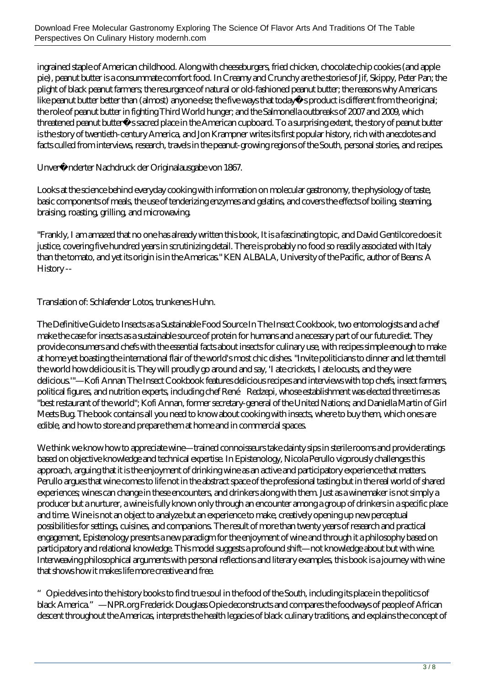ingrained staple of American childhood. Along with cheeseburgers, fried chicken, chocolate chip cookies (and apple pie), peanut butter is a consummate comfort food. In Creamy and Crunchy are the stories of Jif, Skippy, Peter Pan; the plight of black peanut farmers; the resurgence of natural or old-fashioned peanut butter; the reasons why Americans like peanut butter better than (almost) anyone else; the five ways that today O sproduct is different from the original; the role of peanut butter in fighting Third World hunger; and the Salmonella outbreaks of 2007 and 2009, which threatened peanut butterÕs sacred place in the American cupboard. To a surprising extent, the story of peanut butter is the story of twentieth-century America, and Jon Krampner writes its first popular history, rich with anecdotes and facts culled from interviews, research, travels in the peanut-growing regions of the South, personal stories, and recipes.

Unveränderter Nachdruck der Originalausgabe von 1867.

Looks at the science behind everyday cooking with information on molecular gastronomy, the physiology of taste, basic components of meals, the use of tenderizing enzymes and gelatins, and covers the effects of boiling, steaming, braising, roasting, grilling, and microwaving.

"Frankly, I am amazed that no one has already written this book, It is a fascinating topic, and David Gentilcore does it justice, covering five hundred years in scrutinizing detail. There is probably no food so readily associated with Italy than the tomato, and yet its origin is in the Americas." KEN ALBALA, University of the Pacific, author of Beans: A History --

## Translation of: Schlafender Lotos, trunkenes Huhn.

The Definitive Guide to Insects as a Sustainable Food Source In The Insect Cookbook, two entomologists and a chef make the case for insects as a sustainable source of protein for humans and a necessary part of our future diet. They provide consumers and chefs with the essential facts about insects for culinary use, with recipes simple enough to make at home yet boasting the international flair of the world's most chic dishes. "Invite politicians to dinner and let them tell the world how delicious it is. They will proudly go around and say, 'I ate crickets, I ate locusts, and they were delicious.'"—Kofi Annan The Insect Cookbook features delicious recipes and interviews with top chefs, insect farmers, political figures, and nutrition experts, including chef René Redzepi, whose establishment was elected three times as "best restaurant of the world"; Kofi Annan, former secretary-general of the United Nations; and Daniella Martin of Girl Meets Bug. The book contains all you need to know about cooking with insects, where to buy them, which ones are edible, and how to store and prepare them at home and in commercial spaces.

We think we know how to appreciate wine—trained connoisseurs take dainty sips in sterile rooms and provide ratings based on objective knowledge and technical expertise. In Epistenology, Nicola Perullo vigorously challenges this approach, arguing that it is the enjoyment of drinking wine as an active and participatory experience that matters. Perullo argues that wine comes to life not in the abstract space of the professional tasting but in the real world of shared experiences; wines can change in these encounters, and drinkers along with them. Just as a winemaker is not simply a producer but a nurturer, a wine is fully known only through an encounter among a group of drinkers in a specific place and time. Wine is not an object to analyze but an experience to make, creatively opening up new perceptual possibilities for settings, cuisines, and companions. The result of more than twenty years of research and practical engagement, Epistenology presents a new paradigm for the enjoyment of wine and through it a philosophy based on participatory and relational knowledge. This model suggests a profound shift—not knowledge about but with wine. Interweaving philosophical arguments with personal reflections and literary examples, this book is a journey with wine that shows how it makes life more creative and free.

"Opie delves into the history books to find true soul in the food of the South, including its place in the politics of black America."—NPR.org Frederick Douglass Opie deconstructs and compares the foodways of people of African descent throughout the Americas, interprets the health legacies of black culinary traditions, and explains the concept of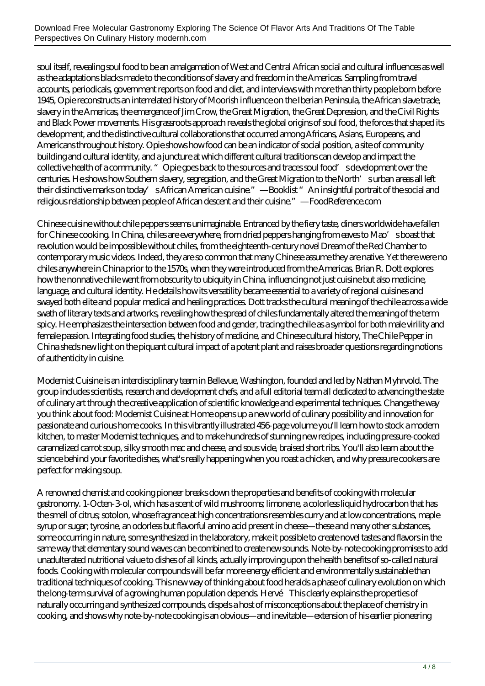soul itself, revealing soul food to be an amalgamation of West and Central African social and cultural influences as well as the adaptations blacks made to the conditions of slavery and freedom in the Americas. Sampling from travel accounts, periodicals, government reports on food and diet, and interviews with more than thirty people born before 1945, Opie reconstructs an interrelated history of Moorish influence on the Iberian Peninsula, the African slave trade, slavery in the Americas, the emergence of Jim Crow, the Great Migration, the Great Depression, and the Civil Rights and Black Power movements. His grassroots approach reveals the global origins of soul food, the forces that shaped its development, and the distinctive cultural collaborations that occurred among Africans, Asians, Europeans, and Americans throughout history. Opie shows how food can be an indicator of social position, a site of community building and cultural identity, and a juncture at which different cultural traditions can develop and impact the collective health of a community. "Opie goes back to the sources and traces soul food's development over the centuries. He shows how Southern slavery, segregation, and the Great Migration to the North's urban areas all left their distinctive marks on today's African American cuisine."—Booklist "An insightful portrait of the social and religious relationship between people of African descent and their cuisine."—FoodReference.com

Chinese cuisine without chile peppers seems unimaginable. Entranced by the fiery taste, diners worldwide have fallen for Chinese cooking. In China, chiles are everywhere, from dried peppers hanging from eaves to Mao's boast that revolution would be impossible without chiles, from the eighteenth-century novel Dream of the Red Chamber to contemporary music videos. Indeed, they are so common that many Chinese assume they are native. Yet there were no chiles anywhere in China prior to the 1570s, when they were introduced from the Americas. Brian R. Dott explores how the nonnative chile went from obscurity to ubiquity in China, influencing not just cuisine but also medicine, language, and cultural identity. He details how its versatility became essential to a variety of regional cuisines and swayed both elite and popular medical and healing practices. Dott tracks the cultural meaning of the chile across a wide swath of literary texts and artworks, revealing how the spread of chiles fundamentally altered the meaning of the term spicy. He emphasizes the intersection between food and gender, tracing the chile as a symbol for both male virility and female passion. Integrating food studies, the history of medicine, and Chinese cultural history, The Chile Pepper in China sheds new light on the piquant cultural impact of a potent plant and raises broader questions regarding notions of authenticity in cuisine.

Modernist Cuisine is an interdisciplinary team in Bellevue, Washington, founded and led by Nathan Myhrvold. The group includes scientists, research and development chefs, and a full editorial team all dedicated to advancing the state of culinary art through the creative application of scientific knowledge and experimental techniques. Change the way you think about food: Modernist Cuisine at Home opens up a new world of culinary possibility and innovation for passionate and curious home cooks. In this vibrantly illustrated 456-page volume you'll learn how to stock a modern kitchen, to master Modernist techniques, and to make hundreds of stunning new recipes, including pressure-cooked caramelized carrot soup, silky smooth mac and cheese, and sous vide, braised short ribs. You'll also learn about the science behind your favorite dishes, what's really happening when you roast a chicken, and why pressure cookers are perfect for making soup.

A renowned chemist and cooking pioneer breaks down the properties and benefits of cooking with molecular gastronomy. 1-Octen-3-ol, which has a scent of wild mushrooms; limonene, a colorless liquid hydrocarbon that has the smell of citrus; sotolon, whose fragrance at high concentrations resembles curry and at low concentrations, maple syrup or sugar; tyrosine, an odorless but flavorful amino acid present in cheese—these and many other substances, some occurring in nature, some synthesized in the laboratory, make it possible to create novel tastes and flavors in the same way that elementary sound waves can be combined to create new sounds. Note-by-note cooking promises to add unadulterated nutritional value to dishes of all kinds, actually improving upon the health benefits of so-called natural foods. Cooking with molecular compounds will be far more energy efficient and environmentally sustainable than traditional techniques of cooking. This new way of thinking about food heralds a phase of culinary evolution on which the long-term survival of a growing human population depends. Hervé This clearly explains the properties of naturally occurring and synthesized compounds, dispels a host of misconceptions about the place of chemistry in cooking, and shows why note-by-note cooking is an obvious—and inevitable—extension of his earlier pioneering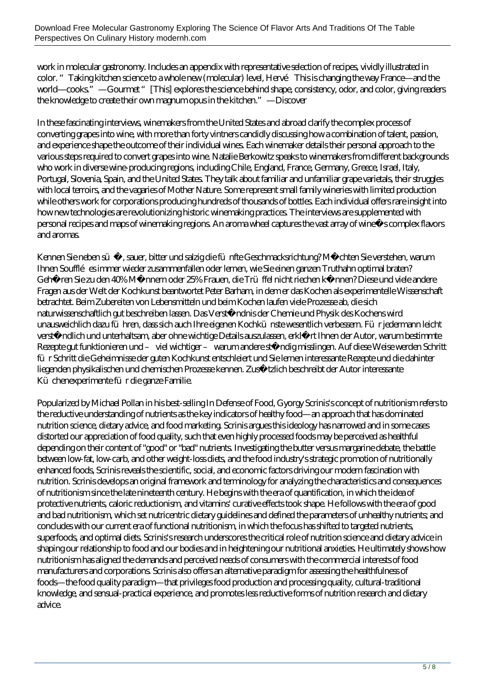work in molecular gastronomy. Includes an appendix with representative selection of recipes, vividly illustrated in color. "Taking kitchen science to a whole new (molecular) level, Hervé This is changing the way France and the world cooks<sup>"</sup> —Gourmet "[This] explores the science behind shape, consistency, odor, and color, giving readers the knowledge to create their own magnum opus in the kitchen."—Discover

In these fascinating interviews, winemakers from the United States and abroad clarify the complex process of converting grapes into wine, with more than forty vintners candidly discussing how a combination of talent, passion, and experience shape the outcome of their individual wines. Each winemaker details their personal approach to the various steps required to convert grapes into wine. Natalie Berkowitz speaks to winemakers from different backgrounds who work in diverse wine-producing regions, including Chile, England, France, Germany, Greece, Israel, Italy, Portugal, Slovenia, Spain, and the United States. They talk about familiar and unfamiliar grape varietals, their struggles with local terroirs, and the vagaries of Mother Nature. Some represent small family wineries with limited production while others work for corporations producing hundreds of thousands of bottles. Each individual offers rare insight into how new technologies are revolutionizing historic winemaking practices. The interviews are supplemented with personal recipes and maps of winemaking regions. An aroma wheel captures the vast array of wineÕs complex flavors and aromas.

Kennen Sie neben süß, sauer, bitter und salzig die fünfte Geschmacksrichtung? Möchten Sie verstehen, warum Ihnen Soufflé es immer wieder zusammenfallen oder lernen, wie Sie einen ganzen Truthahn optimal braten? Gehö ren Sie zu den 40% Männern oder 25% Frauen, die Trüffel nicht riechen können? Diese und viele andere Fragen aus der Welt der Kochkunst beantwortet Peter Barham, in dem er das Kochen als experimentelle Wissenschaft betrachtet. Beim Zubereiten von Lebensmitteln und beim Kochen laufen viele Prozesse ab, die sich naturwissenschaftlich gut beschreiben lassen. Das Verständnis der Chemie und Physik des Kochens wird unausweichlich dazu führen, dass sich auch Ihre eigenen Kochkünste wesentlich verbessern. Für jedermann leicht verständlich und unterhaltsam, aber ohne wichtige Details auszulassen, erklärt Ihnen der Autor, warum bestimmte Rezepte gut funktionieren und - viel wichtiger - warum andere ständig misslingen. Auf diese Weise werden Schritt für Schritt die Geheimnisse der guten Kochkunst entschleiert und Sie lernen interessante Rezepte und die dahinter liegenden physikalischen und chemischen Prozesse kennen. Zusätzlich beschreibt der Autor interessante Küchenexperimente für die ganze Familie.

Popularized by Michael Pollan in his best-selling In Defense of Food, Gyorgy Scrinis's concept of nutritionism refers to the reductive understanding of nutrients as the key indicators of healthy food—an approach that has dominated nutrition science, dietary advice, and food marketing. Scrinis argues this ideology has narrowed and in some cases distorted our appreciation of food quality, such that even highly processed foods may be perceived as healthful depending on their content of "good" or "bad" nutrients. Investigating the butter versus margarine debate, the battle between low-fat, low-carb, and other weight-loss diets, and the food industry's strategic promotion of nutritionally enhanced foods, Scrinis reveals the scientific, social, and economic factors driving our modern fascination with nutrition. Scrinis develops an original framework and terminology for analyzing the characteristics and consequences of nutritionism since the late nineteenth century. He begins with the era of quantification, in which the idea of protective nutrients, caloric reductionism, and vitamins' curative effects took shape. He follows with the era of good and bad nutritionism, which set nutricentric dietary guidelines and defined the parameters of unhealthy nutrients; and concludes with our current era of functional nutritionism, in which the focus has shifted to targeted nutrients, superfoods, and optimal diets. Scrinis's research underscores the critical role of nutrition science and dietary advice in shaping our relationship to food and our bodies and in heightening our nutritional anxieties. He ultimately shows how nutritionism has aligned the demands and perceived needs of consumers with the commercial interests of food manufacturers and corporations. Scrinis also offers an alternative paradigm for assessing the healthfulness of foods—the food quality paradigm—that privileges food production and processing quality, cultural-traditional knowledge, and sensual-practical experience, and promotes less reductive forms of nutrition research and dietary advice.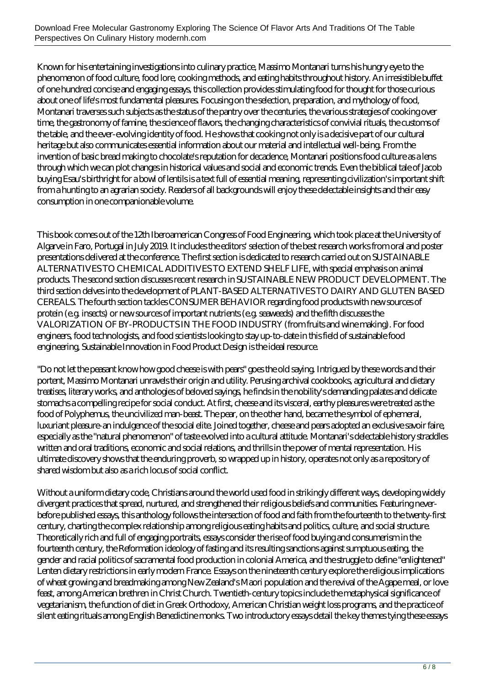Known for his entertaining investigations into culinary practice, Massimo Montanari turns his hungry eye to the phenomenon of food culture, food lore, cooking methods, and eating habits throughout history. An irresistible buffet of one hundred concise and engaging essays, this collection provides stimulating food for thought for those curious about one of life's most fundamental pleasures. Focusing on the selection, preparation, and mythology of food, Montanari traverses such subjects as the status of the pantry over the centuries, the various strategies of cooking over time, the gastronomy of famine, the science of flavors, the changing characteristics of convivial rituals, the customs of the table, and the ever-evolving identity of food. He shows that cooking not only is a decisive part of our cultural heritage but also communicates essential information about our material and intellectual well-being. From the invention of basic bread making to chocolate's reputation for decadence, Montanari positions food culture as a lens through which we can plot changes in historical values and social and economic trends. Even the biblical tale of Jacob buying Esau's birthright for a bowl of lentils is a text full of essential meaning, representing civilization's important shift from a hunting to an agrarian society. Readers of all backgrounds will enjoy these delectable insights and their easy consumption in one companionable volume.

This book comes out of the 12th Iberoamerican Congress of Food Engineering, which took place at the University of Algarve in Faro, Portugal in July 2019. It includes the editors' selection of the best research works from oral and poster presentations delivered at the conference. The first section is dedicated to research carried out on SUSTAINABLE ALTERNATIVES TO CHEMICAL ADDITIVES TO EXTEND SHELF LIFE, with special emphasis on animal products. The second section discusses recent research in SUSTAINABLE NEW PRODUCT DEVELOPMENT. The third section delves into the development of PLANT-BASED ALTERNATIVES TO DAIRY AND GLUTEN BASED CEREALS. The fourth section tackles CONSUMER BEHAVIOR regarding food products with new sources of protein (e.g. insects) or new sources of important nutrients (e.g. seaweeds) and the fifth discusses the VALORIZATION OF BY-PRODUCTS IN THE FOOD INDUSTRY (from fruits and wine making). For food engineers, food technologists, and food scientists looking to stay up-to-date in this field of sustainable food engineering, Sustainable Innovation in Food Product Design is the ideal resource.

"Do not let the peasant know how good cheese is with pears" goes the old saying. Intrigued by these words and their portent, Massimo Montanari unravels their origin and utility. Perusing archival cookbooks, agricultural and dietary treatises, literary works, and anthologies of beloved sayings, he finds in the nobility's demanding palates and delicate stomachs a compelling recipe for social conduct. At first, cheese and its visceral, earthy pleasures were treated as the food of Polyphemus, the uncivilized man-beast. The pear, on the other hand, became the symbol of ephemeral, luxuriant pleasure-an indulgence of the social elite. Joined together, cheese and pears adopted an exclusive savoir faire, especially as the "natural phenomenon" of taste evolved into a cultural attitude. Montanari's delectable history straddles written and oral traditions, economic and social relations, and thrills in the power of mental representation. His ultimate discovery shows that the enduring proverb, so wrapped up in history, operates not only as a repository of shared wisdom but also as a rich locus of social conflict.

Without a uniform dietary code, Christians around the world used food in strikingly different ways, developing widely divergent practices that spread, nurtured, and strengthened their religious beliefs and communities. Featuring neverbefore published essays, this anthology follows the intersection of food and faith from the fourteenth to the twenty-first century, charting the complex relationship among religious eating habits and politics, culture, and social structure. Theoretically rich and full of engaging portraits, essays consider the rise of food buying and consumerism in the fourteenth century, the Reformation ideology of fasting and its resulting sanctions against sumptuous eating, the gender and racial politics of sacramental food production in colonial America, and the struggle to define "enlightened" Lenten dietary restrictions in early modern France. Essays on the nineteenth century explore the religious implications of wheat growing and breadmaking among New Zealand's Maori population and the revival of the Agape meal, or love feast, among American brethren in Christ Church. Twentieth-century topics include the metaphysical significance of vegetarianism, the function of diet in Greek Orthodoxy, American Christian weight loss programs, and the practice of silent eating rituals among English Benedictine monks. Two introductory essays detail the key themes tying these essays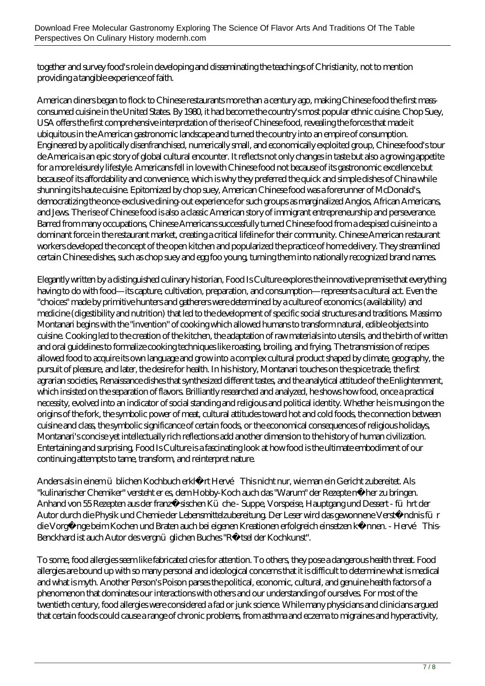together and survey food's role in developing and disseminating the teachings of Christianity, not to mention providing a tangible experience of faith.

American diners began to flock to Chinese restaurants more than a century ago, making Chinese food the first massconsumed cuisine in the United States. By 1980, it had become the country's most popular ethnic cuisine. Chop Suey, USA offers the first comprehensive interpretation of the rise of Chinese food, revealing the forces that made it ubiquitous in the American gastronomic landscape and turned the country into an empire of consumption. Engineered by a politically disenfranchised, numerically small, and economically exploited group, Chinese food's tour de America is an epic story of global cultural encounter. It reflects not only changes in taste but also a growing appetite for a more leisurely lifestyle. Americans fell in love with Chinese food not because of its gastronomic excellence but because of its affordability and convenience, which is why they preferred the quick and simple dishes of China while shunning its haute cuisine. Epitomized by chop suey, American Chinese food was a forerunner of McDonald's, democratizing the once-exclusive dining-out experience for such groups as marginalized Anglos, African Americans, and Jews. The rise of Chinese food is also a classic American story of immigrant entrepreneurship and perseverance. Barred from many occupations, Chinese Americans successfully turned Chinese food from a despised cuisine into a dominant force in the restaurant market, creating a critical lifeline for their community. Chinese American restaurant workers developed the concept of the open kitchen and popularized the practice of home delivery. They streamlined certain Chinese dishes, such as chop suey and egg foo young, turning them into nationally recognized brand names.

Elegantly written by a distinguished culinary historian, Food Is Culture explores the innovative premise that everything having to do with food—its capture, cultivation, preparation, and consumption—represents a cultural act. Even the "choices" made by primitive hunters and gatherers were determined by a culture of economics (availability) and medicine (digestibility and nutrition) that led to the development of specific social structures and traditions. Massimo Montanari begins with the "invention" of cooking which allowed humans to transform natural, edible objects into cuisine. Cooking led to the creation of the kitchen, the adaptation of raw materials into utensils, and the birth of written and oral guidelines to formalize cooking techniques like roasting, broiling, and frying. The transmission of recipes allowed food to acquire its own language and grow into a complex cultural product shaped by climate, geography, the pursuit of pleasure, and later, the desire for health. In his history, Montanari touches on the spice trade, the first agrarian societies, Renaissance dishes that synthesized different tastes, and the analytical attitude of the Enlightenment, which insisted on the separation of flavors. Brilliantly researched and analyzed, he shows how food, once a practical necessity, evolved into an indicator of social standing and religious and political identity. Whether he is musing on the origins of the fork, the symbolic power of meat, cultural attitudes toward hot and cold foods, the connection between cuisine and class, the symbolic significance of certain foods, or the economical consequences of religious holidays, Montanari's concise yet intellectually rich reflections add another dimension to the history of human civilization. Entertaining and surprising, Food Is Culture is a fascinating look at how food is the ultimate embodiment of our continuing attempts to tame, transform, and reinterpret nature.

Anders als in einem üblichen Kochbuch erklärt Hervé This nicht nur, wie man ein Gericht zubereitet. Als "kulinarischer Chemiker" versteht er es, dem Hobby-Koch auch das "Warum" der Rezepte näher zu bringen. Anhand von 55 Rezepten aus der franzö sischen Küche - Suppe, Vorspeise, Hauptgang und Dessert - führt der Autor durch die Physik und Chemie der Lebensmittelzubereitung. Der Leser wird das gewonnene Verständnis für r die Vorgänge beim Kochen und Braten auch bei eigenen Kreationen erfolgreich einsetzen können. - Hervé This-Benckhard ist auch Autor des vergnüglichen Buches "Rätsel der Kochkunst".

To some, food allergies seem like fabricated cries for attention. To others, they pose a dangerous health threat. Food allergies are bound up with so many personal and ideological concerns that it is difficult to determine what is medical and what is myth. Another Person's Poison parses the political, economic, cultural, and genuine health factors of a phenomenon that dominates our interactions with others and our understanding of ourselves. For most of the twentieth century, food allergies were considered a fad or junk science. While many physicians and clinicians argued that certain foods could cause a range of chronic problems, from asthma and eczema to migraines and hyperactivity,